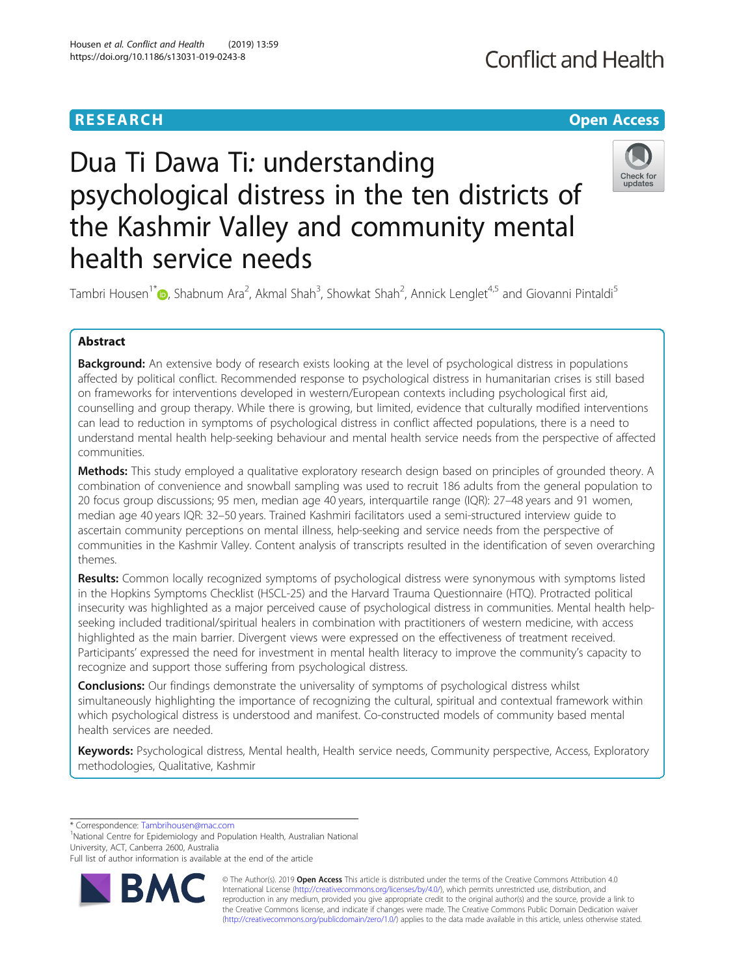## **RESEARCH CHE Open Access**

# Dua Ti Dawa Ti: understanding psychological distress in the ten districts of the Kashmir Valley and community mental health service needs



Tambri Housen<sup>1[\\*](http://orcid.org/0000-0002-4569-7601)</sup> $\bullet$ , Shabnum Ara<sup>2</sup>, Akmal Shah<sup>3</sup>, Showkat Shah<sup>2</sup>, Annick Lenglet<sup>4,5</sup> and Giovanni Pintaldi<sup>5</sup>

### Abstract

**Background:** An extensive body of research exists looking at the level of psychological distress in populations affected by political conflict. Recommended response to psychological distress in humanitarian crises is still based on frameworks for interventions developed in western/European contexts including psychological first aid, counselling and group therapy. While there is growing, but limited, evidence that culturally modified interventions can lead to reduction in symptoms of psychological distress in conflict affected populations, there is a need to understand mental health help-seeking behaviour and mental health service needs from the perspective of affected communities.

Methods: This study employed a qualitative exploratory research design based on principles of grounded theory. A combination of convenience and snowball sampling was used to recruit 186 adults from the general population to 20 focus group discussions; 95 men, median age 40 years, interquartile range (IQR): 27–48 years and 91 women, median age 40 years IQR: 32–50 years. Trained Kashmiri facilitators used a semi-structured interview guide to ascertain community perceptions on mental illness, help-seeking and service needs from the perspective of communities in the Kashmir Valley. Content analysis of transcripts resulted in the identification of seven overarching themes.

Results: Common locally recognized symptoms of psychological distress were synonymous with symptoms listed in the Hopkins Symptoms Checklist (HSCL-25) and the Harvard Trauma Questionnaire (HTQ). Protracted political insecurity was highlighted as a major perceived cause of psychological distress in communities. Mental health helpseeking included traditional/spiritual healers in combination with practitioners of western medicine, with access highlighted as the main barrier. Divergent views were expressed on the effectiveness of treatment received. Participants' expressed the need for investment in mental health literacy to improve the community's capacity to recognize and support those suffering from psychological distress.

**Conclusions:** Our findings demonstrate the universality of symptoms of psychological distress whilst simultaneously highlighting the importance of recognizing the cultural, spiritual and contextual framework within which psychological distress is understood and manifest. Co-constructed models of community based mental health services are needed.

Keywords: Psychological distress, Mental health, Health service needs, Community perspective, Access, Exploratory methodologies, Qualitative, Kashmir

\* Correspondence: [Tambrihousen@mac.com](mailto:Tambrihousen@mac.com) <sup>1</sup>

<sup>1</sup>National Centre for Epidemiology and Population Health, Australian National University, ACT, Canberra 2600, Australia

Full list of author information is available at the end of the article



© The Author(s). 2019 Open Access This article is distributed under the terms of the Creative Commons Attribution 4.0 International License [\(http://creativecommons.org/licenses/by/4.0/](http://creativecommons.org/licenses/by/4.0/)), which permits unrestricted use, distribution, and reproduction in any medium, provided you give appropriate credit to the original author(s) and the source, provide a link to the Creative Commons license, and indicate if changes were made. The Creative Commons Public Domain Dedication waiver [\(http://creativecommons.org/publicdomain/zero/1.0/](http://creativecommons.org/publicdomain/zero/1.0/)) applies to the data made available in this article, unless otherwise stated.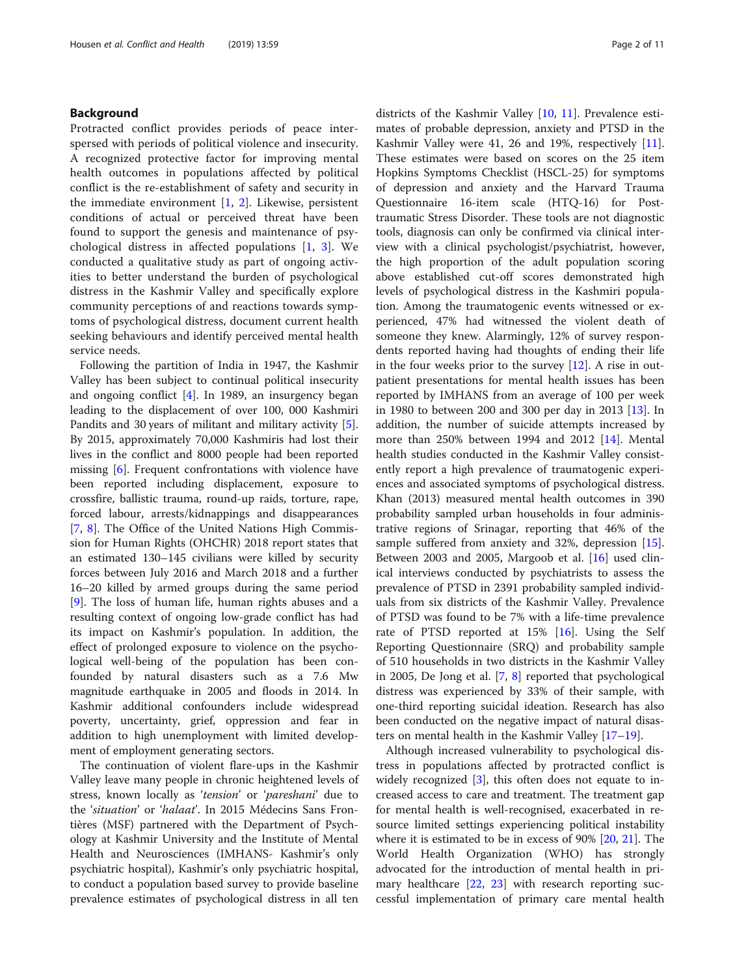#### Background

Protracted conflict provides periods of peace interspersed with periods of political violence and insecurity. A recognized protective factor for improving mental health outcomes in populations affected by political conflict is the re-establishment of safety and security in the immediate environment  $[1, 2]$  $[1, 2]$  $[1, 2]$ . Likewise, persistent conditions of actual or perceived threat have been found to support the genesis and maintenance of psychological distress in affected populations [\[1](#page-9-0), [3](#page-9-0)]. We conducted a qualitative study as part of ongoing activities to better understand the burden of psychological distress in the Kashmir Valley and specifically explore community perceptions of and reactions towards symptoms of psychological distress, document current health seeking behaviours and identify perceived mental health service needs.

Following the partition of India in 1947, the Kashmir Valley has been subject to continual political insecurity and ongoing conflict [[4\]](#page-9-0). In 1989, an insurgency began leading to the displacement of over 100, 000 Kashmiri Pandits and 30 years of militant and military activity [\[5](#page-9-0)]. By 2015, approximately 70,000 Kashmiris had lost their lives in the conflict and 8000 people had been reported missing [[6\]](#page-9-0). Frequent confrontations with violence have been reported including displacement, exposure to crossfire, ballistic trauma, round-up raids, torture, rape, forced labour, arrests/kidnappings and disappearances [[7,](#page-9-0) [8\]](#page-9-0). The Office of the United Nations High Commission for Human Rights (OHCHR) 2018 report states that an estimated 130–145 civilians were killed by security forces between July 2016 and March 2018 and a further 16–20 killed by armed groups during the same period [[9\]](#page-9-0). The loss of human life, human rights abuses and a resulting context of ongoing low-grade conflict has had its impact on Kashmir's population. In addition, the effect of prolonged exposure to violence on the psychological well-being of the population has been confounded by natural disasters such as a 7.6 Mw magnitude earthquake in 2005 and floods in 2014. In Kashmir additional confounders include widespread poverty, uncertainty, grief, oppression and fear in addition to high unemployment with limited development of employment generating sectors.

The continuation of violent flare-ups in the Kashmir Valley leave many people in chronic heightened levels of stress, known locally as 'tension' or 'pareshani' due to the 'situation' or 'halaat'. In 2015 Médecins Sans Frontières (MSF) partnered with the Department of Psychology at Kashmir University and the Institute of Mental Health and Neurosciences (IMHANS- Kashmir's only psychiatric hospital), Kashmir's only psychiatric hospital, to conduct a population based survey to provide baseline prevalence estimates of psychological distress in all ten districts of the Kashmir Valley [\[10](#page-9-0), [11\]](#page-9-0). Prevalence estimates of probable depression, anxiety and PTSD in the Kashmir Valley were 41, 26 and 19%, respectively [\[11](#page-9-0)]. These estimates were based on scores on the 25 item Hopkins Symptoms Checklist (HSCL-25) for symptoms of depression and anxiety and the Harvard Trauma Questionnaire 16-item scale (HTQ-16) for Posttraumatic Stress Disorder. These tools are not diagnostic tools, diagnosis can only be confirmed via clinical interview with a clinical psychologist/psychiatrist, however, the high proportion of the adult population scoring above established cut-off scores demonstrated high levels of psychological distress in the Kashmiri population. Among the traumatogenic events witnessed or experienced, 47% had witnessed the violent death of someone they knew. Alarmingly, 12% of survey respondents reported having had thoughts of ending their life in the four weeks prior to the survey  $[12]$  $[12]$ . A rise in outpatient presentations for mental health issues has been reported by IMHANS from an average of 100 per week in 1980 to between 200 and 300 per day in 2013 [[13](#page-9-0)]. In addition, the number of suicide attempts increased by more than 250% between 1994 and 2012 [[14\]](#page-9-0). Mental health studies conducted in the Kashmir Valley consistently report a high prevalence of traumatogenic experiences and associated symptoms of psychological distress. Khan (2013) measured mental health outcomes in 390 probability sampled urban households in four administrative regions of Srinagar, reporting that 46% of the sample suffered from anxiety and 32%, depression [\[15](#page-9-0)]. Between 2003 and 2005, Margoob et al. [\[16](#page-9-0)] used clinical interviews conducted by psychiatrists to assess the prevalence of PTSD in 2391 probability sampled individuals from six districts of the Kashmir Valley. Prevalence of PTSD was found to be 7% with a life-time prevalence rate of PTSD reported at 15% [\[16\]](#page-9-0). Using the Self Reporting Questionnaire (SRQ) and probability sample of 510 households in two districts in the Kashmir Valley in 2005, De Jong et al. [\[7](#page-9-0), [8\]](#page-9-0) reported that psychological distress was experienced by 33% of their sample, with one-third reporting suicidal ideation. Research has also been conducted on the negative impact of natural disasters on mental health in the Kashmir Valley [[17](#page-9-0)–[19](#page-9-0)].

Although increased vulnerability to psychological distress in populations affected by protracted conflict is widely recognized [[3\]](#page-9-0), this often does not equate to increased access to care and treatment. The treatment gap for mental health is well-recognised, exacerbated in resource limited settings experiencing political instability where it is estimated to be in excess of 90% [\[20](#page-9-0), [21](#page-9-0)]. The World Health Organization (WHO) has strongly advocated for the introduction of mental health in primary healthcare [[22,](#page-9-0) [23\]](#page-9-0) with research reporting successful implementation of primary care mental health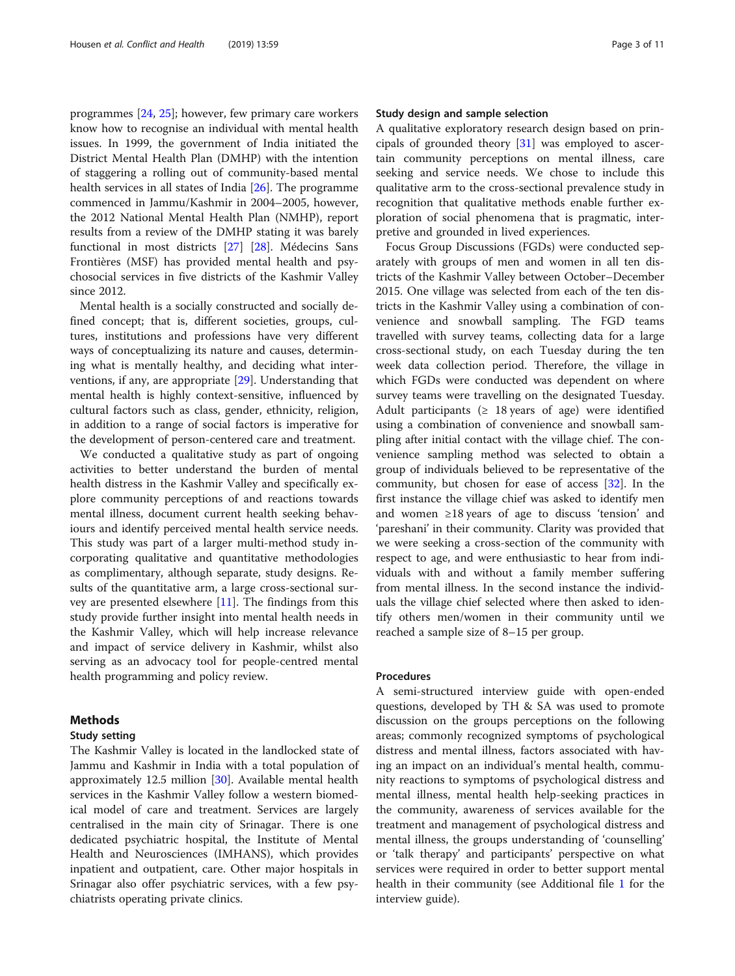programmes [\[24,](#page-9-0) [25\]](#page-9-0); however, few primary care workers know how to recognise an individual with mental health issues. In 1999, the government of India initiated the District Mental Health Plan (DMHP) with the intention of staggering a rolling out of community-based mental health services in all states of India [[26\]](#page-9-0). The programme commenced in Jammu/Kashmir in 2004–2005, however, the 2012 National Mental Health Plan (NMHP), report results from a review of the DMHP stating it was barely functional in most districts [\[27](#page-9-0)] [\[28\]](#page-9-0). Médecins Sans Frontières (MSF) has provided mental health and psychosocial services in five districts of the Kashmir Valley since 2012.

Mental health is a socially constructed and socially defined concept; that is, different societies, groups, cultures, institutions and professions have very different ways of conceptualizing its nature and causes, determining what is mentally healthy, and deciding what interventions, if any, are appropriate [[29\]](#page-10-0). Understanding that mental health is highly context-sensitive, influenced by cultural factors such as class, gender, ethnicity, religion, in addition to a range of social factors is imperative for the development of person-centered care and treatment.

We conducted a qualitative study as part of ongoing activities to better understand the burden of mental health distress in the Kashmir Valley and specifically explore community perceptions of and reactions towards mental illness, document current health seeking behaviours and identify perceived mental health service needs. This study was part of a larger multi-method study incorporating qualitative and quantitative methodologies as complimentary, although separate, study designs. Results of the quantitative arm, a large cross-sectional survey are presented elsewhere  $[11]$  $[11]$  $[11]$ . The findings from this study provide further insight into mental health needs in the Kashmir Valley, which will help increase relevance and impact of service delivery in Kashmir, whilst also serving as an advocacy tool for people-centred mental health programming and policy review.

#### Methods

#### Study setting

The Kashmir Valley is located in the landlocked state of Jammu and Kashmir in India with a total population of approximately 12.5 million [\[30](#page-10-0)]. Available mental health services in the Kashmir Valley follow a western biomedical model of care and treatment. Services are largely centralised in the main city of Srinagar. There is one dedicated psychiatric hospital, the Institute of Mental Health and Neurosciences (IMHANS), which provides inpatient and outpatient, care. Other major hospitals in Srinagar also offer psychiatric services, with a few psychiatrists operating private clinics.

#### Study design and sample selection

A qualitative exploratory research design based on principals of grounded theory [\[31](#page-10-0)] was employed to ascertain community perceptions on mental illness, care seeking and service needs. We chose to include this qualitative arm to the cross-sectional prevalence study in recognition that qualitative methods enable further exploration of social phenomena that is pragmatic, interpretive and grounded in lived experiences.

Focus Group Discussions (FGDs) were conducted separately with groups of men and women in all ten districts of the Kashmir Valley between October–December 2015. One village was selected from each of the ten districts in the Kashmir Valley using a combination of convenience and snowball sampling. The FGD teams travelled with survey teams, collecting data for a large cross-sectional study, on each Tuesday during the ten week data collection period. Therefore, the village in which FGDs were conducted was dependent on where survey teams were travelling on the designated Tuesday. Adult participants ( $\geq$  18 years of age) were identified using a combination of convenience and snowball sampling after initial contact with the village chief. The convenience sampling method was selected to obtain a group of individuals believed to be representative of the community, but chosen for ease of access [[32\]](#page-10-0). In the first instance the village chief was asked to identify men and women ≥18 years of age to discuss 'tension' and 'pareshani' in their community. Clarity was provided that we were seeking a cross-section of the community with respect to age, and were enthusiastic to hear from individuals with and without a family member suffering from mental illness. In the second instance the individuals the village chief selected where then asked to identify others men/women in their community until we reached a sample size of 8–15 per group.

#### Procedures

A semi-structured interview guide with open-ended questions, developed by TH & SA was used to promote discussion on the groups perceptions on the following areas; commonly recognized symptoms of psychological distress and mental illness, factors associated with having an impact on an individual's mental health, community reactions to symptoms of psychological distress and mental illness, mental health help-seeking practices in the community, awareness of services available for the treatment and management of psychological distress and mental illness, the groups understanding of 'counselling' or 'talk therapy' and participants' perspective on what services were required in order to better support mental health in their community (see Additional file [1](#page-9-0) for the interview guide).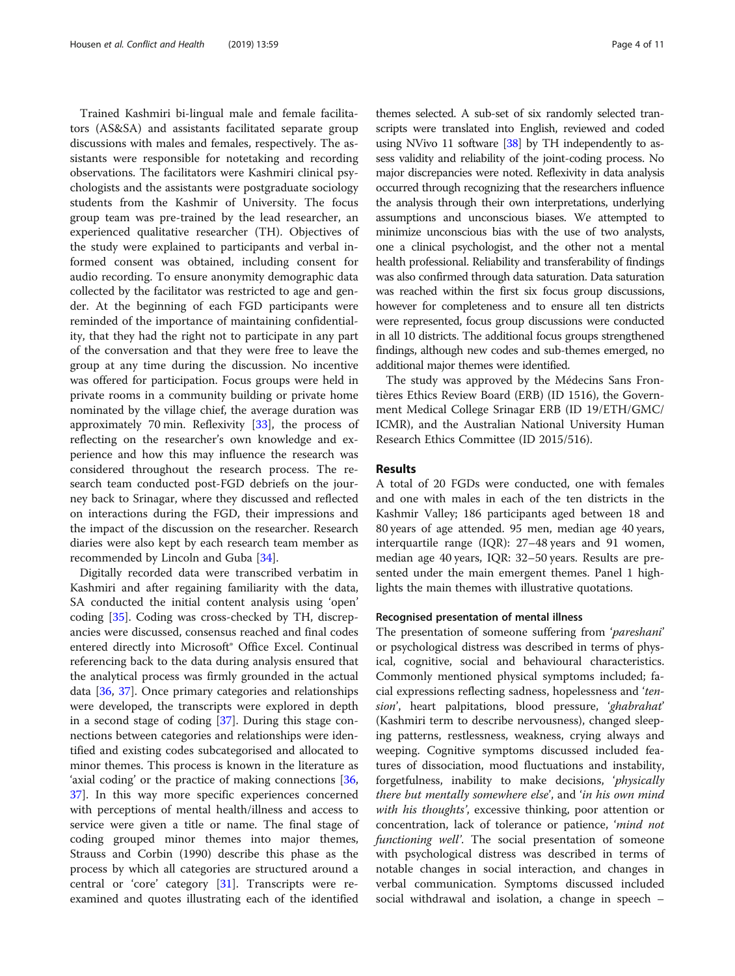Trained Kashmiri bi-lingual male and female facilitators (AS&SA) and assistants facilitated separate group discussions with males and females, respectively. The assistants were responsible for notetaking and recording observations. The facilitators were Kashmiri clinical psychologists and the assistants were postgraduate sociology students from the Kashmir of University. The focus group team was pre-trained by the lead researcher, an experienced qualitative researcher (TH). Objectives of the study were explained to participants and verbal informed consent was obtained, including consent for audio recording. To ensure anonymity demographic data collected by the facilitator was restricted to age and gender. At the beginning of each FGD participants were reminded of the importance of maintaining confidentiality, that they had the right not to participate in any part of the conversation and that they were free to leave the group at any time during the discussion. No incentive was offered for participation. Focus groups were held in private rooms in a community building or private home nominated by the village chief, the average duration was approximately 70 min. Reflexivity [\[33](#page-10-0)], the process of reflecting on the researcher's own knowledge and experience and how this may influence the research was considered throughout the research process. The research team conducted post-FGD debriefs on the journey back to Srinagar, where they discussed and reflected on interactions during the FGD, their impressions and the impact of the discussion on the researcher. Research diaries were also kept by each research team member as recommended by Lincoln and Guba [[34\]](#page-10-0).

Digitally recorded data were transcribed verbatim in Kashmiri and after regaining familiarity with the data, SA conducted the initial content analysis using 'open' coding [\[35](#page-10-0)]. Coding was cross-checked by TH, discrepancies were discussed, consensus reached and final codes entered directly into Microsoft® Office Excel. Continual referencing back to the data during analysis ensured that the analytical process was firmly grounded in the actual data [[36](#page-10-0), [37\]](#page-10-0). Once primary categories and relationships were developed, the transcripts were explored in depth in a second stage of coding [\[37](#page-10-0)]. During this stage connections between categories and relationships were identified and existing codes subcategorised and allocated to minor themes. This process is known in the literature as 'axial coding' or the practice of making connections [[36](#page-10-0), [37\]](#page-10-0). In this way more specific experiences concerned with perceptions of mental health/illness and access to service were given a title or name. The final stage of coding grouped minor themes into major themes, Strauss and Corbin (1990) describe this phase as the process by which all categories are structured around a central or 'core' category [\[31](#page-10-0)]. Transcripts were reexamined and quotes illustrating each of the identified

themes selected. A sub-set of six randomly selected transcripts were translated into English, reviewed and coded using NVivo 11 software [[38](#page-10-0)] by TH independently to assess validity and reliability of the joint-coding process. No major discrepancies were noted. Reflexivity in data analysis occurred through recognizing that the researchers influence the analysis through their own interpretations, underlying assumptions and unconscious biases. We attempted to minimize unconscious bias with the use of two analysts, one a clinical psychologist, and the other not a mental health professional. Reliability and transferability of findings was also confirmed through data saturation. Data saturation was reached within the first six focus group discussions, however for completeness and to ensure all ten districts were represented, focus group discussions were conducted in all 10 districts. The additional focus groups strengthened findings, although new codes and sub-themes emerged, no additional major themes were identified.

The study was approved by the Médecins Sans Frontières Ethics Review Board (ERB) (ID 1516), the Government Medical College Srinagar ERB (ID 19/ETH/GMC/ ICMR), and the Australian National University Human Research Ethics Committee (ID 2015/516).

#### Results

A total of 20 FGDs were conducted, one with females and one with males in each of the ten districts in the Kashmir Valley; 186 participants aged between 18 and 80 years of age attended. 95 men, median age 40 years, interquartile range (IQR): 27–48 years and 91 women, median age 40 years, IQR: 32–50 years. Results are presented under the main emergent themes. Panel 1 highlights the main themes with illustrative quotations.

#### Recognised presentation of mental illness

The presentation of someone suffering from 'pareshani' or psychological distress was described in terms of physical, cognitive, social and behavioural characteristics. Commonly mentioned physical symptoms included; facial expressions reflecting sadness, hopelessness and 'tension', heart palpitations, blood pressure, 'ghabrahat' (Kashmiri term to describe nervousness), changed sleeping patterns, restlessness, weakness, crying always and weeping. Cognitive symptoms discussed included features of dissociation, mood fluctuations and instability, forgetfulness, inability to make decisions, 'physically there but mentally somewhere else', and 'in his own mind with his thoughts', excessive thinking, poor attention or concentration, lack of tolerance or patience, 'mind not functioning well'. The social presentation of someone with psychological distress was described in terms of notable changes in social interaction, and changes in verbal communication. Symptoms discussed included social withdrawal and isolation, a change in speech –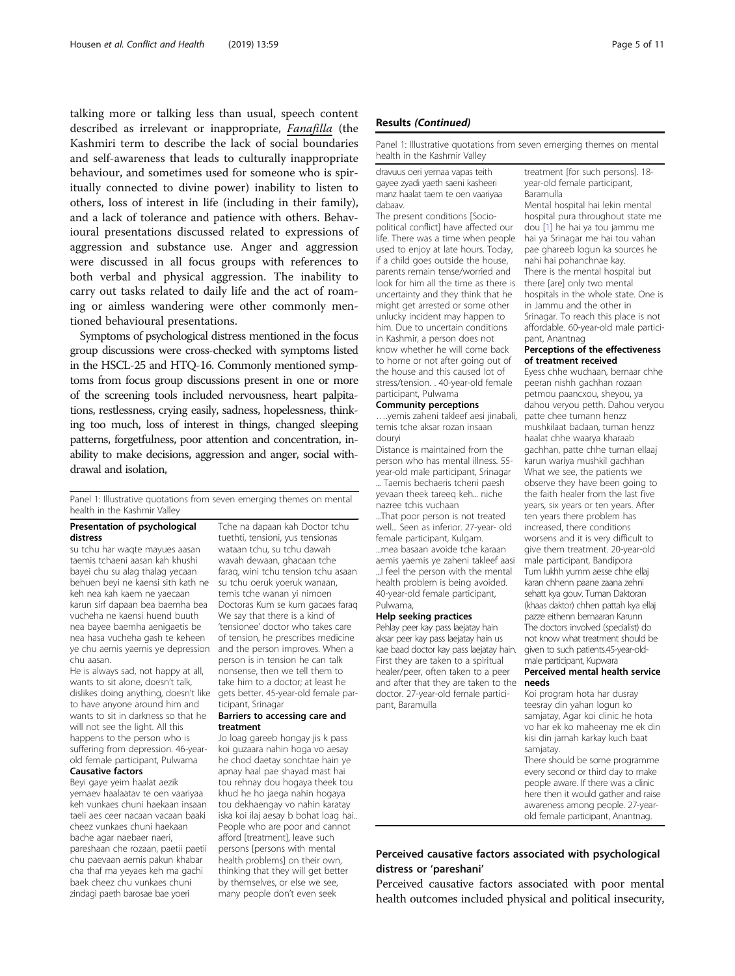talking more or talking less than usual, speech content described as irrelevant or inappropriate, Fanafilla (the Kashmiri term to describe the lack of social boundaries and self-awareness that leads to culturally inappropriate behaviour, and sometimes used for someone who is spiritually connected to divine power) inability to listen to others, loss of interest in life (including in their family), and a lack of tolerance and patience with others. Behavioural presentations discussed related to expressions of aggression and substance use. Anger and aggression were discussed in all focus groups with references to both verbal and physical aggression. The inability to carry out tasks related to daily life and the act of roaming or aimless wandering were other commonly mentioned behavioural presentations.

Symptoms of psychological distress mentioned in the focus group discussions were cross-checked with symptoms listed in the HSCL-25 and HTQ-16. Commonly mentioned symptoms from focus group discussions present in one or more of the screening tools included nervousness, heart palpitations, restlessness, crying easily, sadness, hopelessness, thinking too much, loss of interest in things, changed sleeping patterns, forgetfulness, poor attention and concentration, inability to make decisions, aggression and anger, social withdrawal and isolation,

Panel 1: Illustrative quotations from seven emerging themes on mental health in the Kashmir Valley

#### Presentation of psychological distress

su tchu har waqte mayues aasan taemis tchaeni aasan kah khushi bayei chu su alag thalag yecaan behuen beyi ne kaensi sith kath ne keh nea kah kaem ne yaecaan karun sirf dapaan bea baemha bea vucheha ne kaensi huend buuth nea bayee baemha aenigaetis be nea hasa vucheha gash te keheen ye chu aemis yaemis ye depression chu aasan.

He is always sad, not happy at all, wants to sit alone, doesn't talk, dislikes doing anything, doesn't like to have anyone around him and wants to sit in darkness so that he will not see the light. All this happens to the person who is suffering from depression. 46-yearold female participant, Pulwama

Causative factors Beyi gaye yeim haalat aezik yemaev haalaatav te oen vaariyaa keh vunkaes chuni haekaan insaan taeli aes ceer nacaan vacaan baaki cheez vunkaes chuni haekaan bache agar naebaer naeri, pareshaan che rozaan, paetii paetii chu paevaan aemis pakun khabar cha thaf ma yeyaes keh ma gachi baek cheez chu vunkaes chuni zindagi paeth barosae bae yoeri

Tche na dapaan kah Doctor tchu tuethti, tensioni, yus tensionas wataan tchu, su tchu dawah wavah dewaan, ghacaan tche faraq, wini tchu tension tchu asaan su tchu oeruk yoeruk wanaan, temis tche wanan yi nimoen Doctoras Kum se kum gacaes faraq We say that there is a kind of 'tensionee' doctor who takes care of tension, he prescribes medicine and the person improves. When a person is in tension he can talk nonsense, then we tell them to take him to a doctor; at least he gets better. 45-year-old female participant, Srinagar

#### Barriers to accessing care and treatment

Jo loag gareeb hongay jis k pass koi guzaara nahin hoga vo aesay he chod daetay sonchtae hain ye apnay haal pae shayad mast hai tou rehnay dou hogaya theek tou khud he ho jaega nahin hogaya tou dekhaengay vo nahin karatay iska koi ilaj aesay b bohat loag hai.. People who are poor and cannot afford [treatment], leave such persons [persons with mental health problems] on their own, thinking that they will get better by themselves, or else we see, many people don't even seek

#### Results (Continued)

Panel 1: Illustrative quotations from seven emerging themes on mental health in the Kashmir Valley

dravuus oeri yemaa vapas teith gayee zyadi yaeth saeni kasheeri manz haalat taem te oen vaariyaa dabaav.

The present conditions [Sociopolitical conflict] have affected our life. There was a time when people used to enjoy at late hours. Today, if a child goes outside the house, parents remain tense/worried and look for him all the time as there is uncertainty and they think that he might get arrested or some other unlucky incident may happen to him. Due to uncertain conditions in Kashmir, a person does not know whether he will come back to home or not after going out of the house and this caused lot of stress/tension. . 40-year-old female participant, Pulwama

#### Community perceptions

….yemis zaheni takleef aesi jinabali, temis tche aksar rozan insaan douryi

Distance is maintained from the person who has mental illness. 55 year-old male participant, Srinagar ... Taemis bechaeris tcheni paesh yevaan theek tareeq keh... niche nazree tchis vuchaan

...That poor person is not treated well... Seen as inferior. 27-year- old female participant, Kulgam. ...mea basaan avoide tche karaan aemis yaemis ye zaheni takleef aasi ...I feel the person with the mental health problem is being avoided. 40-year-old female participant, Pulwama,

#### Help seeking practices

Pehlay peer kay pass laejatay hain aksar peer kay pass laejatay hain us kae baad doctor kay pass laejatay hain. First they are taken to a spiritual healer/peer, often taken to a peer and after that they are taken to the doctor. 27-year-old female participant, Baramulla

treatment [for such persons]. 18 year-old female participant, Baramulla

Mental hospital hai lekin mental hospital pura throughout state me dou [\[1](#page-9-0)] he hai ya tou jammu me hai ya Srinagar me hai tou vahan pae ghareeb logun ka sources he nahi hai pohanchnae kay. There is the mental hospital but there [are] only two mental hospitals in the whole state. One is in Jammu and the other in Srinagar. To reach this place is not affordable. 60-year-old male participant, Anantnag

#### Perceptions of the effectiveness of treatment received

Eyess chhe wuchaan, bemaar chhe peeran nishh gachhan rozaan petmou paancxou, sheyou, ya dahou veryou petth. Dahou veryou patte chee tumann henzz mushkilaat badaan, tuman henzz haalat chhe waarya kharaab gachhan, patte chhe tuman ellaaj karun wariya mushkil gachhan What we see, the patients we observe they have been going to the faith healer from the last five years, six years or ten years. After ten years there problem has increased, there conditions worsens and it is very difficult to give them treatment. 20-year-old male participant, Bandipora Tum lukhh yumm aesse chhe ellaj karan chhenn paane zaana zehni sehatt kya gouv. Tuman Daktoran (khaas daktor) chhen pattah kya ellaj pazze eithenn bemaaran Karunn The doctors involved (specialist) do not know what treatment should be given to such patients.45-year-oldmale participant, Kupwara Perceived mental health service

# needs

Koi program hota har dusray teesray din yahan logun ko samjatay, Agar koi clinic he hota vo har ek ko maheenay me ek din kisi din jamah karkay kuch baat samjatay.

There should be some programme every second or third day to make people aware. If there was a clinic here then it would gather and raise awareness among people. 27-yearold female participant, Anantnag.

#### Perceived causative factors associated with psychological distress or 'pareshani'

Perceived causative factors associated with poor mental health outcomes included physical and political insecurity,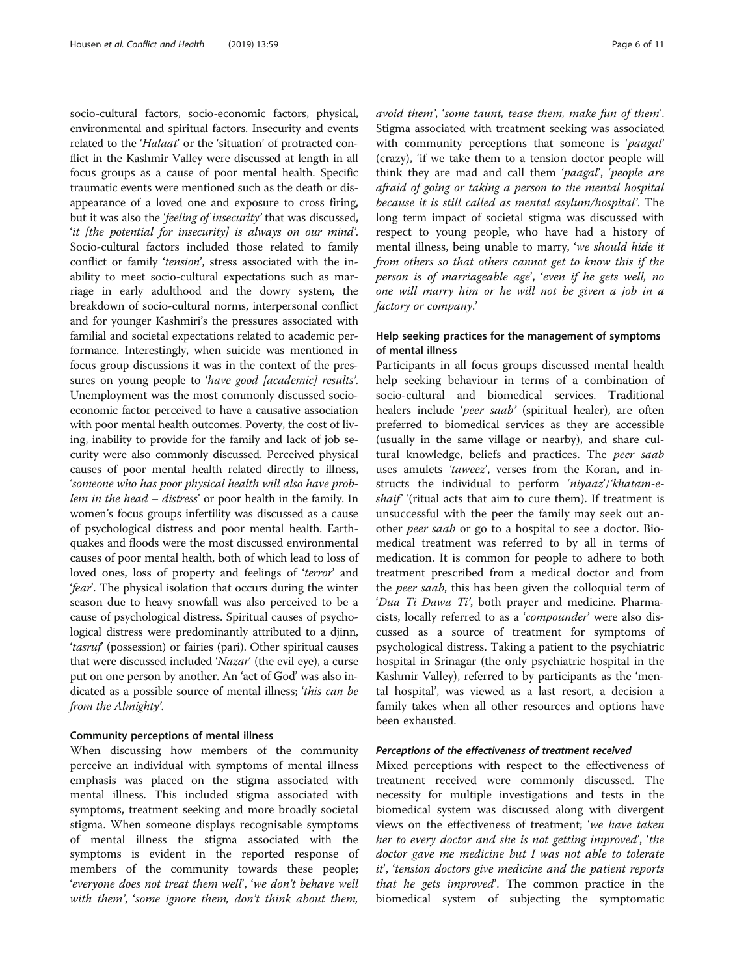socio-cultural factors, socio-economic factors, physical, environmental and spiritual factors. Insecurity and events related to the 'Halaat' or the 'situation' of protracted conflict in the Kashmir Valley were discussed at length in all focus groups as a cause of poor mental health. Specific traumatic events were mentioned such as the death or disappearance of a loved one and exposure to cross firing, but it was also the 'feeling of insecurity' that was discussed, 'it [the potential for insecurity] is always on our mind'. Socio-cultural factors included those related to family conflict or family 'tension', stress associated with the inability to meet socio-cultural expectations such as marriage in early adulthood and the dowry system, the breakdown of socio-cultural norms, interpersonal conflict and for younger Kashmiri's the pressures associated with familial and societal expectations related to academic performance. Interestingly, when suicide was mentioned in focus group discussions it was in the context of the pressures on young people to 'have good [academic] results'. Unemployment was the most commonly discussed socioeconomic factor perceived to have a causative association with poor mental health outcomes. Poverty, the cost of living, inability to provide for the family and lack of job security were also commonly discussed. Perceived physical causes of poor mental health related directly to illness, 'someone who has poor physical health will also have problem in the head – distress' or poor health in the family. In women's focus groups infertility was discussed as a cause of psychological distress and poor mental health. Earthquakes and floods were the most discussed environmental causes of poor mental health, both of which lead to loss of loved ones, loss of property and feelings of 'terror' and *'fear'*. The physical isolation that occurs during the winter season due to heavy snowfall was also perceived to be a cause of psychological distress. Spiritual causes of psychological distress were predominantly attributed to a djinn, 'tasruf' (possession) or fairies (pari). Other spiritual causes that were discussed included 'Nazar' (the evil eye), a curse put on one person by another. An 'act of God' was also indicated as a possible source of mental illness; 'this can be from the Almighty'.

#### Community perceptions of mental illness

When discussing how members of the community perceive an individual with symptoms of mental illness emphasis was placed on the stigma associated with mental illness. This included stigma associated with symptoms, treatment seeking and more broadly societal stigma. When someone displays recognisable symptoms of mental illness the stigma associated with the symptoms is evident in the reported response of members of the community towards these people; 'everyone does not treat them well', 'we don't behave well with them', 'some ignore them, don't think about them,

avoid them', 'some taunt, tease them, make fun of them'. Stigma associated with treatment seeking was associated with community perceptions that someone is 'paagal' (crazy), 'if we take them to a tension doctor people will think they are mad and call them 'paagal', 'people are afraid of going or taking a person to the mental hospital because it is still called as mental asylum/hospital'. The long term impact of societal stigma was discussed with respect to young people, who have had a history of mental illness, being unable to marry, 'we should hide it from others so that others cannot get to know this if the person is of marriageable age', 'even if he gets well, no one will marry him or he will not be given a job in a factory or company.'

#### Help seeking practices for the management of symptoms of mental illness

Participants in all focus groups discussed mental health help seeking behaviour in terms of a combination of socio-cultural and biomedical services. Traditional healers include 'peer saab' (spiritual healer), are often preferred to biomedical services as they are accessible (usually in the same village or nearby), and share cultural knowledge, beliefs and practices. The *peer saab* uses amulets 'taweez', verses from the Koran, and instructs the individual to perform 'niyaaz'/'khatam-e $shaif'$ '(ritual acts that aim to cure them). If treatment is unsuccessful with the peer the family may seek out another peer saab or go to a hospital to see a doctor. Biomedical treatment was referred to by all in terms of medication. It is common for people to adhere to both treatment prescribed from a medical doctor and from the *peer saab*, this has been given the colloquial term of 'Dua Ti Dawa Ti', both prayer and medicine. Pharmacists, locally referred to as a 'compounder' were also discussed as a source of treatment for symptoms of psychological distress. Taking a patient to the psychiatric hospital in Srinagar (the only psychiatric hospital in the Kashmir Valley), referred to by participants as the 'mental hospital', was viewed as a last resort, a decision a family takes when all other resources and options have been exhausted.

#### Perceptions of the effectiveness of treatment received

Mixed perceptions with respect to the effectiveness of treatment received were commonly discussed. The necessity for multiple investigations and tests in the biomedical system was discussed along with divergent views on the effectiveness of treatment; 'we have taken her to every doctor and she is not getting improved', 'the doctor gave me medicine but I was not able to tolerate it', 'tension doctors give medicine and the patient reports that he gets improved'. The common practice in the biomedical system of subjecting the symptomatic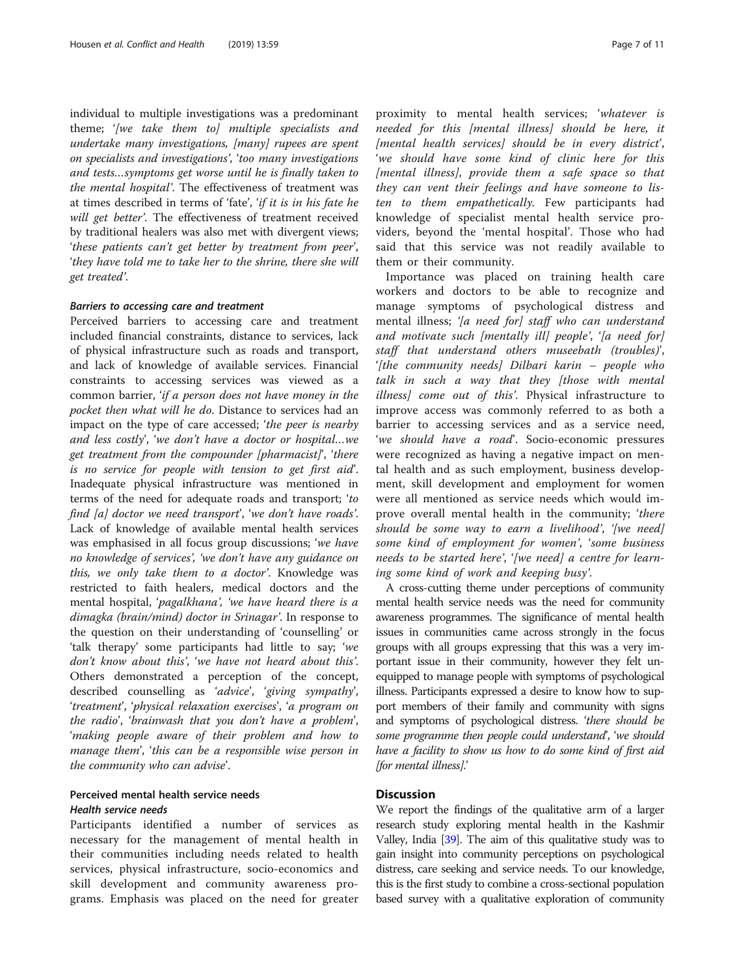individual to multiple investigations was a predominant theme; '[we take them to] multiple specialists and undertake many investigations, [many] rupees are spent on specialists and investigations', 'too many investigations and tests…symptoms get worse until he is finally taken to the mental hospital'. The effectiveness of treatment was at times described in terms of 'fate', 'if it is in his fate he will get better'. The effectiveness of treatment received by traditional healers was also met with divergent views; 'these patients can't get better by treatment from peer', 'they have told me to take her to the shrine, there she will get treated'.

#### Barriers to accessing care and treatment

Perceived barriers to accessing care and treatment included financial constraints, distance to services, lack of physical infrastructure such as roads and transport, and lack of knowledge of available services. Financial constraints to accessing services was viewed as a common barrier, 'if a person does not have money in the pocket then what will he do. Distance to services had an impact on the type of care accessed; 'the peer is nearby and less costly', 'we don't have a doctor or hospital…we get treatment from the compounder [pharmacist]', 'there is no service for people with tension to get first aid'. Inadequate physical infrastructure was mentioned in terms of the need for adequate roads and transport; 'to find [a] doctor we need transport', 'we don't have roads'. Lack of knowledge of available mental health services was emphasised in all focus group discussions; 'we have no knowledge of services', 'we don't have any guidance on this, we only take them to a doctor'. Knowledge was restricted to faith healers, medical doctors and the mental hospital, 'pagalkhana', 'we have heard there is a dimagka (brain/mind) doctor in Srinagar'. In response to the question on their understanding of 'counselling' or 'talk therapy' some participants had little to say; 'we don't know about this', 'we have not heard about this'. Others demonstrated a perception of the concept, described counselling as 'advice', 'giving sympathy', 'treatment', 'physical relaxation exercises', 'a program on the radio', 'brainwash that you don't have a problem', 'making people aware of their problem and how to manage them', 'this can be a responsible wise person in the community who can advise'.

#### Perceived mental health service needs Health service needs

Participants identified a number of services as necessary for the management of mental health in their communities including needs related to health services, physical infrastructure, socio-economics and skill development and community awareness programs. Emphasis was placed on the need for greater proximity to mental health services; 'whatever is needed for this [mental illness] should be here, it [mental health services] should be in every district', 'we should have some kind of clinic here for this [mental illness], provide them a safe space so that they can vent their feelings and have someone to listen to them empathetically. Few participants had knowledge of specialist mental health service providers, beyond the 'mental hospital'. Those who had said that this service was not readily available to them or their community.

Importance was placed on training health care workers and doctors to be able to recognize and manage symptoms of psychological distress and mental illness; '[a need for] staff who can understand and motivate such [mentally ill] people', '[a need for] staff that understand others museebath (troubles)', '[the community needs] Dilbari karin – people who talk in such a way that they [those with mental illness] come out of this'. Physical infrastructure to improve access was commonly referred to as both a barrier to accessing services and as a service need, 'we should have a road'. Socio-economic pressures were recognized as having a negative impact on mental health and as such employment, business development, skill development and employment for women were all mentioned as service needs which would improve overall mental health in the community; 'there should be some way to earn a livelihood', '[we need] some kind of employment for women', 'some business needs to be started here', '[we need] a centre for learning some kind of work and keeping busy'.

A cross-cutting theme under perceptions of community mental health service needs was the need for community awareness programmes. The significance of mental health issues in communities came across strongly in the focus groups with all groups expressing that this was a very important issue in their community, however they felt unequipped to manage people with symptoms of psychological illness. Participants expressed a desire to know how to support members of their family and community with signs and symptoms of psychological distress. 'there should be some programme then people could understand', 'we should have a facility to show us how to do some kind of first aid [for mental illness].'

#### **Discussion**

We report the findings of the qualitative arm of a larger research study exploring mental health in the Kashmir Valley, India [\[39\]](#page-10-0). The aim of this qualitative study was to gain insight into community perceptions on psychological distress, care seeking and service needs. To our knowledge, this is the first study to combine a cross-sectional population based survey with a qualitative exploration of community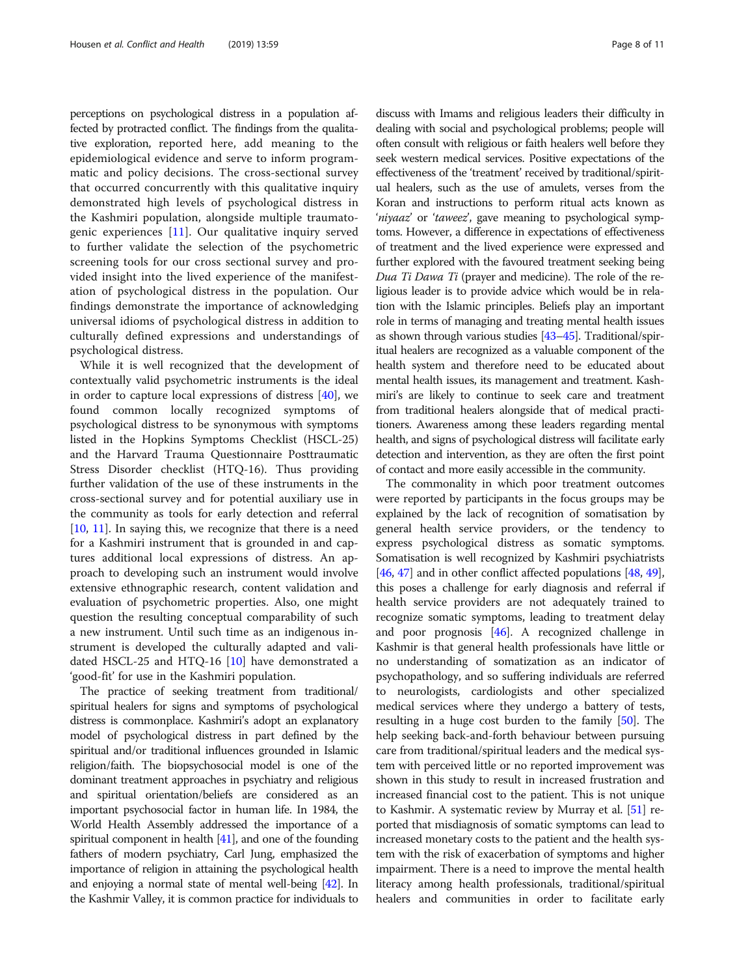perceptions on psychological distress in a population affected by protracted conflict. The findings from the qualitative exploration, reported here, add meaning to the epidemiological evidence and serve to inform programmatic and policy decisions. The cross-sectional survey that occurred concurrently with this qualitative inquiry demonstrated high levels of psychological distress in the Kashmiri population, alongside multiple traumatogenic experiences [[11\]](#page-9-0). Our qualitative inquiry served to further validate the selection of the psychometric screening tools for our cross sectional survey and provided insight into the lived experience of the manifestation of psychological distress in the population. Our findings demonstrate the importance of acknowledging universal idioms of psychological distress in addition to culturally defined expressions and understandings of psychological distress.

While it is well recognized that the development of contextually valid psychometric instruments is the ideal in order to capture local expressions of distress [[40\]](#page-10-0), we found common locally recognized symptoms of psychological distress to be synonymous with symptoms listed in the Hopkins Symptoms Checklist (HSCL-25) and the Harvard Trauma Questionnaire Posttraumatic Stress Disorder checklist (HTQ-16). Thus providing further validation of the use of these instruments in the cross-sectional survey and for potential auxiliary use in the community as tools for early detection and referral [[10,](#page-9-0) [11\]](#page-9-0). In saying this, we recognize that there is a need for a Kashmiri instrument that is grounded in and captures additional local expressions of distress. An approach to developing such an instrument would involve extensive ethnographic research, content validation and evaluation of psychometric properties. Also, one might question the resulting conceptual comparability of such a new instrument. Until such time as an indigenous instrument is developed the culturally adapted and validated HSCL-25 and HTQ-16 [[10](#page-9-0)] have demonstrated a 'good-fit' for use in the Kashmiri population.

The practice of seeking treatment from traditional/ spiritual healers for signs and symptoms of psychological distress is commonplace. Kashmiri's adopt an explanatory model of psychological distress in part defined by the spiritual and/or traditional influences grounded in Islamic religion/faith. The biopsychosocial model is one of the dominant treatment approaches in psychiatry and religious and spiritual orientation/beliefs are considered as an important psychosocial factor in human life. In 1984, the World Health Assembly addressed the importance of a spiritual component in health [\[41\]](#page-10-0), and one of the founding fathers of modern psychiatry, Carl Jung, emphasized the importance of religion in attaining the psychological health and enjoying a normal state of mental well-being [[42](#page-10-0)]. In the Kashmir Valley, it is common practice for individuals to

discuss with Imams and religious leaders their difficulty in dealing with social and psychological problems; people will often consult with religious or faith healers well before they seek western medical services. Positive expectations of the effectiveness of the 'treatment' received by traditional/spiritual healers, such as the use of amulets, verses from the Koran and instructions to perform ritual acts known as 'niyaaz' or 'taweez', gave meaning to psychological symptoms. However, a difference in expectations of effectiveness of treatment and the lived experience were expressed and further explored with the favoured treatment seeking being Dua Ti Dawa Ti (prayer and medicine). The role of the religious leader is to provide advice which would be in relation with the Islamic principles. Beliefs play an important role in terms of managing and treating mental health issues as shown through various studies [\[43](#page-10-0)–[45\]](#page-10-0). Traditional/spiritual healers are recognized as a valuable component of the health system and therefore need to be educated about mental health issues, its management and treatment. Kashmiri's are likely to continue to seek care and treatment from traditional healers alongside that of medical practitioners. Awareness among these leaders regarding mental health, and signs of psychological distress will facilitate early detection and intervention, as they are often the first point of contact and more easily accessible in the community.

The commonality in which poor treatment outcomes were reported by participants in the focus groups may be explained by the lack of recognition of somatisation by general health service providers, or the tendency to express psychological distress as somatic symptoms. Somatisation is well recognized by Kashmiri psychiatrists [[46](#page-10-0), [47\]](#page-10-0) and in other conflict affected populations [\[48,](#page-10-0) [49](#page-10-0)], this poses a challenge for early diagnosis and referral if health service providers are not adequately trained to recognize somatic symptoms, leading to treatment delay and poor prognosis [[46](#page-10-0)]. A recognized challenge in Kashmir is that general health professionals have little or no understanding of somatization as an indicator of psychopathology, and so suffering individuals are referred to neurologists, cardiologists and other specialized medical services where they undergo a battery of tests, resulting in a huge cost burden to the family [\[50\]](#page-10-0). The help seeking back-and-forth behaviour between pursuing care from traditional/spiritual leaders and the medical system with perceived little or no reported improvement was shown in this study to result in increased frustration and increased financial cost to the patient. This is not unique to Kashmir. A systematic review by Murray et al. [\[51\]](#page-10-0) reported that misdiagnosis of somatic symptoms can lead to increased monetary costs to the patient and the health system with the risk of exacerbation of symptoms and higher impairment. There is a need to improve the mental health literacy among health professionals, traditional/spiritual healers and communities in order to facilitate early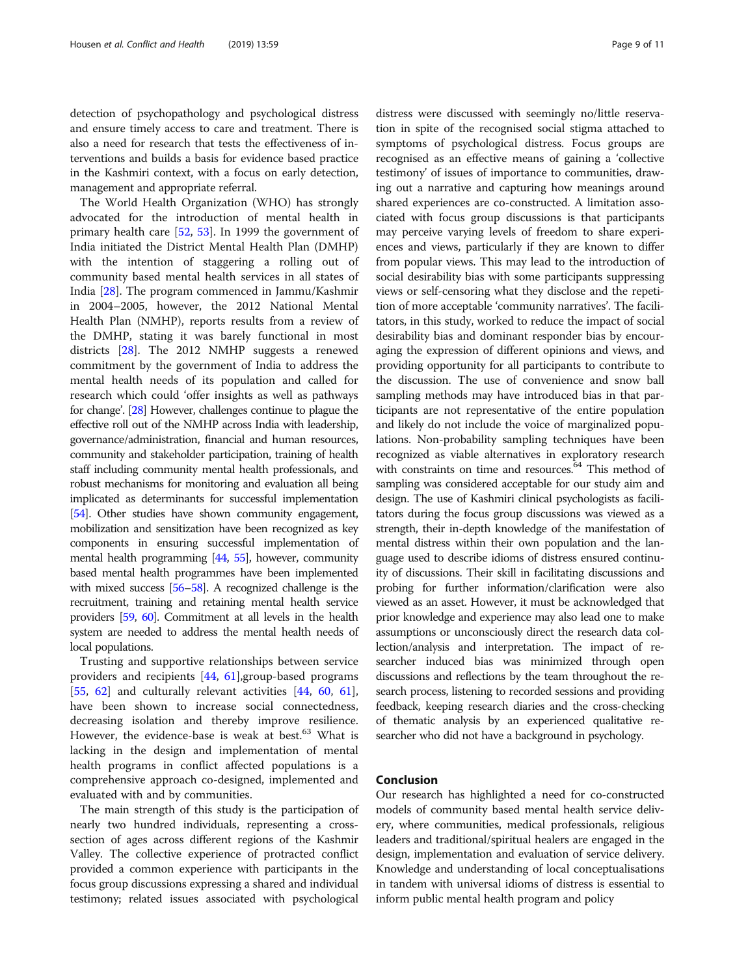detection of psychopathology and psychological distress and ensure timely access to care and treatment. There is also a need for research that tests the effectiveness of interventions and builds a basis for evidence based practice in the Kashmiri context, with a focus on early detection, management and appropriate referral.

The World Health Organization (WHO) has strongly advocated for the introduction of mental health in primary health care [\[52](#page-10-0), [53\]](#page-10-0). In 1999 the government of India initiated the District Mental Health Plan (DMHP) with the intention of staggering a rolling out of community based mental health services in all states of India [[28\]](#page-9-0). The program commenced in Jammu/Kashmir in 2004–2005, however, the 2012 National Mental Health Plan (NMHP), reports results from a review of the DMHP, stating it was barely functional in most districts [[28](#page-9-0)]. The 2012 NMHP suggests a renewed commitment by the government of India to address the mental health needs of its population and called for research which could 'offer insights as well as pathways for change'. [[28](#page-9-0)] However, challenges continue to plague the effective roll out of the NMHP across India with leadership, governance/administration, financial and human resources, community and stakeholder participation, training of health staff including community mental health professionals, and robust mechanisms for monitoring and evaluation all being implicated as determinants for successful implementation [[54\]](#page-10-0). Other studies have shown community engagement, mobilization and sensitization have been recognized as key components in ensuring successful implementation of mental health programming [[44,](#page-10-0) [55\]](#page-10-0), however, community based mental health programmes have been implemented with mixed success [\[56](#page-10-0)–[58](#page-10-0)]. A recognized challenge is the recruitment, training and retaining mental health service providers [[59,](#page-10-0) [60](#page-10-0)]. Commitment at all levels in the health system are needed to address the mental health needs of local populations.

Trusting and supportive relationships between service providers and recipients [[44](#page-10-0), [61\]](#page-10-0),group-based programs [[55,](#page-10-0) [62\]](#page-10-0) and culturally relevant activities [[44,](#page-10-0) [60,](#page-10-0) [61](#page-10-0)], have been shown to increase social connectedness, decreasing isolation and thereby improve resilience. However, the evidence-base is weak at best.<sup>63</sup> What is lacking in the design and implementation of mental health programs in conflict affected populations is a comprehensive approach co-designed, implemented and evaluated with and by communities.

The main strength of this study is the participation of nearly two hundred individuals, representing a crosssection of ages across different regions of the Kashmir Valley. The collective experience of protracted conflict provided a common experience with participants in the focus group discussions expressing a shared and individual testimony; related issues associated with psychological

distress were discussed with seemingly no/little reservation in spite of the recognised social stigma attached to symptoms of psychological distress. Focus groups are recognised as an effective means of gaining a 'collective testimony' of issues of importance to communities, drawing out a narrative and capturing how meanings around shared experiences are co-constructed. A limitation associated with focus group discussions is that participants may perceive varying levels of freedom to share experiences and views, particularly if they are known to differ from popular views. This may lead to the introduction of social desirability bias with some participants suppressing views or self-censoring what they disclose and the repetition of more acceptable 'community narratives'. The facilitators, in this study, worked to reduce the impact of social desirability bias and dominant responder bias by encouraging the expression of different opinions and views, and providing opportunity for all participants to contribute to the discussion. The use of convenience and snow ball sampling methods may have introduced bias in that participants are not representative of the entire population and likely do not include the voice of marginalized populations. Non-probability sampling techniques have been recognized as viable alternatives in exploratory research with constraints on time and resources.<sup>64</sup> This method of sampling was considered acceptable for our study aim and design. The use of Kashmiri clinical psychologists as facilitators during the focus group discussions was viewed as a strength, their in-depth knowledge of the manifestation of mental distress within their own population and the language used to describe idioms of distress ensured continuity of discussions. Their skill in facilitating discussions and probing for further information/clarification were also viewed as an asset. However, it must be acknowledged that prior knowledge and experience may also lead one to make assumptions or unconsciously direct the research data collection/analysis and interpretation. The impact of researcher induced bias was minimized through open discussions and reflections by the team throughout the research process, listening to recorded sessions and providing feedback, keeping research diaries and the cross-checking of thematic analysis by an experienced qualitative researcher who did not have a background in psychology.

#### Conclusion

Our research has highlighted a need for co-constructed models of community based mental health service delivery, where communities, medical professionals, religious leaders and traditional/spiritual healers are engaged in the design, implementation and evaluation of service delivery. Knowledge and understanding of local conceptualisations in tandem with universal idioms of distress is essential to inform public mental health program and policy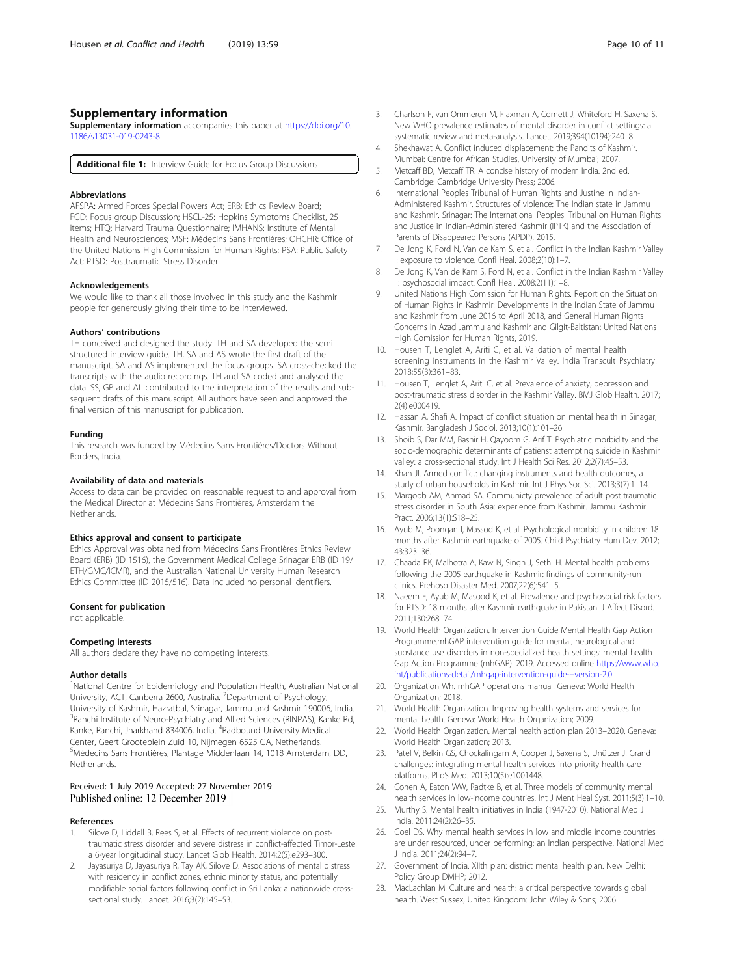#### <span id="page-9-0"></span>Supplementary information

Supplementary information accompanies this paper at [https://doi.org/10.](https://doi.org/10.1186/s13031-019-0243-8) [1186/s13031-019-0243-8.](https://doi.org/10.1186/s13031-019-0243-8)

Additional file 1: Interview Guide for Focus Group Discussions

#### Abbreviations

AFSPA: Armed Forces Special Powers Act; ERB: Ethics Review Board; FGD: Focus group Discussion; HSCL-25: Hopkins Symptoms Checklist, 25 items; HTQ: Harvard Trauma Questionnaire; IMHANS: Institute of Mental Health and Neurosciences; MSF: Médecins Sans Frontières; OHCHR: Office of the United Nations High Commission for Human Rights; PSA: Public Safety Act; PTSD: Posttraumatic Stress Disorder

#### Acknowledgements

We would like to thank all those involved in this study and the Kashmiri people for generously giving their time to be interviewed.

#### Authors' contributions

TH conceived and designed the study. TH and SA developed the semi structured interview guide. TH, SA and AS wrote the first draft of the manuscript. SA and AS implemented the focus groups. SA cross-checked the transcripts with the audio recordings. TH and SA coded and analysed the data. SS, GP and AL contributed to the interpretation of the results and subsequent drafts of this manuscript. All authors have seen and approved the final version of this manuscript for publication.

#### Funding

This research was funded by Médecins Sans Frontières/Doctors Without Borders, India.

#### Availability of data and materials

Access to data can be provided on reasonable request to and approval from the Medical Director at Médecins Sans Frontières, Amsterdam the Netherlands.

#### Ethics approval and consent to participate

Ethics Approval was obtained from Médecins Sans Frontières Ethics Review Board (ERB) (ID 1516), the Government Medical College Srinagar ERB (ID 19/ ETH/GMC/ICMR), and the Australian National University Human Research Ethics Committee (ID 2015/516). Data included no personal identifiers.

#### Consent for publication

not applicable.

#### Competing interests

All authors declare they have no competing interests.

#### Author details

<sup>1</sup>National Centre for Epidemiology and Population Health, Australian National University, ACT, Canberra 2600, Australia. <sup>2</sup>Department of Psychology, University of Kashmir, Hazratbal, Srinagar, Jammu and Kashmir 190006, India. <sup>3</sup>Ranchi Institute of Neuro-Psychiatry and Allied Sciences (RINPAS), Kanke Rd, Kanke, Ranchi, Jharkhand 834006, India. <sup>4</sup>Radbound University Medical Center, Geert Grooteplein Zuid 10, Nijmegen 6525 GA, Netherlands. 5 Médecins Sans Frontières, Plantage Middenlaan 14, 1018 Amsterdam, DD, Netherlands.

#### Received: 1 July 2019 Accepted: 27 November 2019 Published online: 12 December 2019

#### References

- 1. Silove D, Liddell B, Rees S, et al. Effects of recurrent violence on posttraumatic stress disorder and severe distress in conflict-affected Timor-Leste: a 6-year longitudinal study. Lancet Glob Health. 2014;2(5):e293–300.
- Jayasuriya D, Jayasuriya R, Tay AK, Silove D. Associations of mental distress with residency in conflict zones, ethnic minority status, and potentially modifiable social factors following conflict in Sri Lanka: a nationwide crosssectional study. Lancet. 2016;3(2):145–53.
- 3. Charlson F, van Ommeren M, Flaxman A, Cornett J, Whiteford H, Saxena S. New WHO prevalence estimates of mental disorder in conflict settings: a systematic review and meta-analysis. Lancet. 2019;394(10194):240–8.
- 4. Shekhawat A. Conflict induced displacement: the Pandits of Kashmir. Mumbai: Centre for African Studies, University of Mumbai; 2007.
- 5. Metcaff BD, Metcaff TR. A concise history of modern India. 2nd ed. Cambridge: Cambridge University Press; 2006.
- 6. International Peoples Tribunal of Human Rights and Justine in Indian-Administered Kashmir. Structures of violence: The Indian state in Jammu and Kashmir. Srinagar: The International Peoples' Tribunal on Human Rights and Justice in Indian-Administered Kashmir (IPTK) and the Association of Parents of Disappeared Persons (APDP), 2015.
- 7. De Jong K, Ford N, Van de Kam S, et al. Conflict in the Indian Kashmir Valley I: exposure to violence. Confl Heal. 2008;2(10):1–7.
- 8. De Jong K, Van de Kam S, Ford N, et al. Conflict in the Indian Kashmir Valley II: psychosocial impact. Confl Heal. 2008;2(11):1–8.
- 9. United Nations High Comission for Human Rights. Report on the Situation of Human Rights in Kashmir: Developments in the Indian State of Jammu and Kashmir from June 2016 to April 2018, and General Human Rights Concerns in Azad Jammu and Kashmir and Gilgit-Baltistan: United Nations High Comission for Human Rights, 2019.
- 10. Housen T, Lenglet A, Ariti C, et al. Validation of mental health screening instruments in the Kashmir Valley. India Transcult Psychiatry. 2018;55(3):361–83.
- 11. Housen T, Lenglet A, Ariti C, et al. Prevalence of anxiety, depression and post-traumatic stress disorder in the Kashmir Valley. BMJ Glob Health. 2017; 2(4):e000419.
- 12. Hassan A, Shafi A. Impact of conflict situation on mental health in Sinagar, Kashmir. Bangladesh J Sociol. 2013;10(1):101–26.
- 13. Shoib S, Dar MM, Bashir H, Qayoom G, Arif T. Psychiatric morbidity and the socio-demographic determinants of patienst attempting suicide in Kashmir valley: a cross-sectional study. Int J Health Sci Res. 2012;2(7):45–53.
- 14. Khan JI. Armed conflict: changing instruments and health outcomes, a study of urban households in Kashmir. Int J Phys Soc Sci. 2013;3(7):1–14.
- 15. Margoob AM, Ahmad SA. Communicty prevalence of adult post traumatic stress disorder in South Asia: experience from Kashmir. Jammu Kashmir Pract. 2006;13(1):S18–25.
- 16. Ayub M, Poongan I, Massod K, et al. Psychological morbidity in children 18 months after Kashmir earthquake of 2005. Child Psychiatry Hum Dev. 2012; 43:323–36.
- 17. Chaada RK, Malhotra A, Kaw N, Singh J, Sethi H. Mental health problems following the 2005 earthquake in Kashmir: findings of community-run clinics. Prehosp Disaster Med. 2007;22(6):541–5.
- 18. Naeem F, Ayub M, Masood K, et al. Prevalence and psychosocial risk factors for PTSD: 18 months after Kashmir earthquake in Pakistan. J Affect Disord. 2011;130:268–74.
- 19. World Health Organization. Intervention Guide Mental Health Gap Action Programme.mhGAP intervention guide for mental, neurological and substance use disorders in non-specialized health settings: mental health Gap Action Programme (mhGAP). 2019. Accessed online [https://www.who.](https://www.who.int/publications-detail/mhgap-intervention-guide---version-2.0) [int/publications-detail/mhgap-intervention-guide---version-2.0](https://www.who.int/publications-detail/mhgap-intervention-guide---version-2.0).
- 20. Organization Wh. mhGAP operations manual. Geneva: World Health Organization: 2018.
- 21. World Health Organization. Improving health systems and services for mental health. Geneva: World Health Organization; 2009.
- 22. World Health Organization. Mental health action plan 2013–2020. Geneva: World Health Organization; 2013.
- 23. Patel V, Belkin GS, Chockalingam A, Cooper J, Saxena S, Unützer J. Grand challenges: integrating mental health services into priority health care platforms. PLoS Med. 2013;10(5):e1001448.
- Cohen A, Eaton WW, Radtke B, et al. Three models of community mental health services in low-income countries. Int J Ment Heal Syst. 2011;5(3):1–10.
- 25. Murthy S. Mental health initiatives in India (1947-2010). National Med J India. 2011;24(2):26–35.
- 26. Goel DS. Why mental health services in low and middle income countries are under resourced, under performing: an Indian perspective. National Med J India. 2011;24(2):94–7.
- 27. Government of India. XIIth plan: district mental health plan. New Delhi: Policy Group DMHP; 2012.
- 28. MacLachlan M. Culture and health: a critical perspective towards global health. West Sussex, United Kingdom: John Wiley & Sons; 2006.